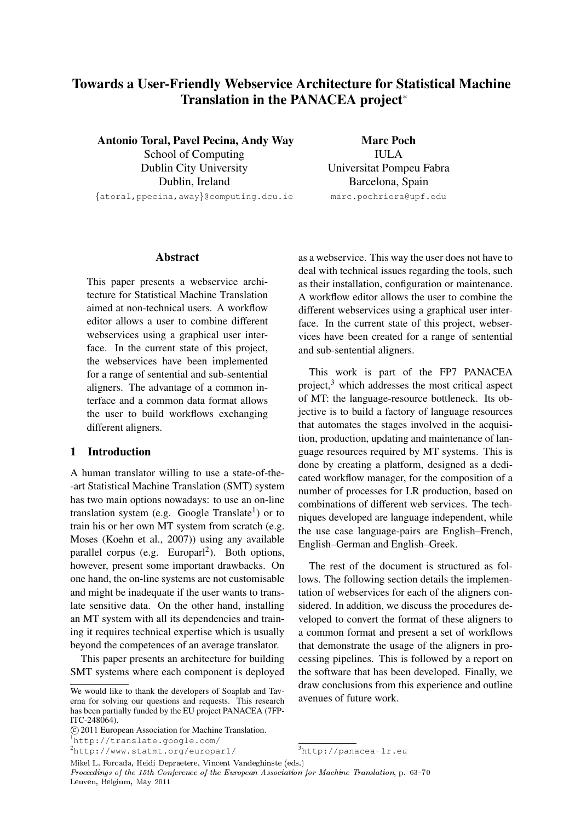# Towards a User-Friendly Webservice Architecture for Statistical Machine Translation in the PANACEA project<sup>\*</sup>

Antonio Toral, Pavel Pecina, Andy Way School of Computing Dublin City University Dublin, Ireland {atoral,ppecina,away}@computing.dcu.ie

Marc Poch IULA Universitat Pompeu Fabra Barcelona, Spain marc.pochriera@upf.edu

# Abstract

This paper presents a webservice architecture for Statistical Machine Translation aimed at non-technical users. A workflow editor allows a user to combine different webservices using a graphical user interface. In the current state of this project, the webservices have been implemented for a range of sentential and sub-sentential aligners. The advantage of a common interface and a common data format allows the user to build workflows exchanging different aligners.

#### 1 Introduction

A human translator willing to use a state-of-the- -art Statistical Machine Translation (SMT) system has two main options nowadays: to use an on-line translation system (e.g. Google Translate<sup>1</sup>) or to train his or her own MT system from scratch (e.g. Moses (Koehn et al., 2007)) using any available parallel corpus (e.g. Europarl<sup>2</sup>). Both options, however, present some important drawbacks. On one hand, the on-line systems are not customisable and might be inadequate if the user wants to translate sensitive data. On the other hand, installing an MT system with all its dependencies and training it requires technical expertise which is usually beyond the competences of an average translator.

This paper presents an architecture for building SMT systems where each component is deployed

<sup>2</sup>http://www.statmt.org/europarl/

as a webservice. This way the user does not have to deal with technical issues regarding the tools, such as their installation, configuration or maintenance. A workflow editor allows the user to combine the different webservices using a graphical user interface. In the current state of this project, webservices have been created for a range of sentential and sub-sentential aligners.

This work is part of the FP7 PANACEA project, $3$  which addresses the most critical aspect of MT: the language-resource bottleneck. Its objective is to build a factory of language resources that automates the stages involved in the acquisition, production, updating and maintenance of language resources required by MT systems. This is done by creating a platform, designed as a dedicated workflow manager, for the composition of a number of processes for LR production, based on combinations of different web services. The techniques developed are language independent, while the use case language-pairs are English–French, English–German and English–Greek.

The rest of the document is structured as follows. The following section details the implementation of webservices for each of the aligners considered. In addition, we discuss the procedures developed to convert the format of these aligners to a common format and present a set of workflows that demonstrate the usage of the aligners in processing pipelines. This is followed by a report on the software that has been developed. Finally, we draw conclusions from this experience and outline avenues of future work.

Mikel L. Forcada, Heidi Depraetere, Vincent Vandeghinste (eds.) Proceedings of the 15th Conference of the European Association for Machine Translation, p. 63-70 Leuven, Belgium, May 2011

<sup>∗</sup>We would like to thank the developers of Soaplab and Taverna for solving our questions and requests. This research has been partially funded by the EU project PANACEA (7FP-ITC-248064).

<sup>∗</sup> c 2011 European Association for Machine Translation. <sup>1</sup>http://translate.google.com/

<sup>3</sup>http://panacea-lr.eu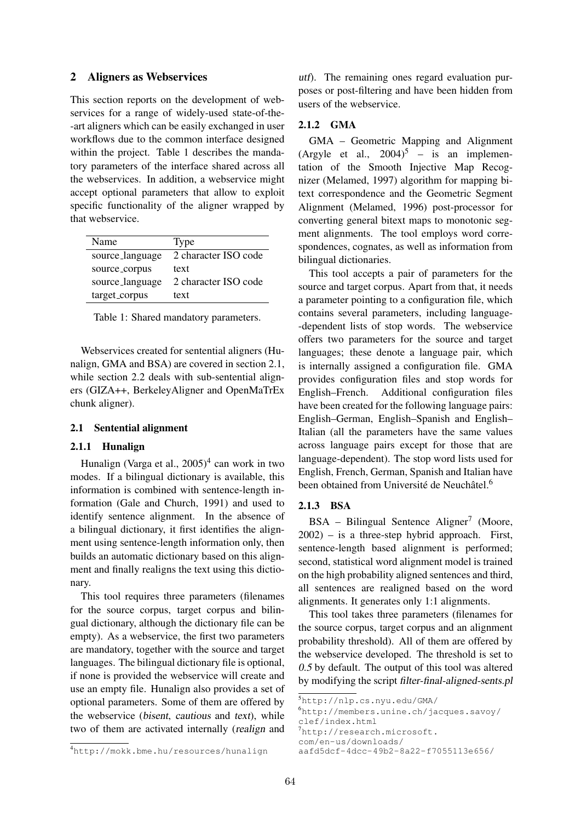#### 2 Aligners as Webservices

This section reports on the development of webservices for a range of widely-used state-of-the- -art aligners which can be easily exchanged in user workflows due to the common interface designed within the project. Table 1 describes the mandatory parameters of the interface shared across all the webservices. In addition, a webservice might accept optional parameters that allow to exploit specific functionality of the aligner wrapped by that webservice.

| Name            | Type                 |
|-----------------|----------------------|
| source_language | 2 character ISO code |
| source_corpus   | text                 |
| source_language | 2 character ISO code |
| target_corpus   | text                 |

Table 1: Shared mandatory parameters.

Webservices created for sentential aligners (Hunalign, GMA and BSA) are covered in section 2.1, while section 2.2 deals with sub-sentential aligners (GIZA++, BerkeleyAligner and OpenMaTrEx chunk aligner).

## 2.1 Sentential alignment

# 2.1.1 Hunalign

Hunalign (Varga et al., 2005)<sup>4</sup> can work in two modes. If a bilingual dictionary is available, this information is combined with sentence-length information (Gale and Church, 1991) and used to identify sentence alignment. In the absence of a bilingual dictionary, it first identifies the alignment using sentence-length information only, then builds an automatic dictionary based on this alignment and finally realigns the text using this dictionary.

This tool requires three parameters (filenames for the source corpus, target corpus and bilingual dictionary, although the dictionary file can be empty). As a webservice, the first two parameters are mandatory, together with the source and target languages. The bilingual dictionary file is optional, if none is provided the webservice will create and use an empty file. Hunalign also provides a set of optional parameters. Some of them are offered by the webservice (bisent, cautious and text), while two of them are activated internally (realign and

utf). The remaining ones regard evaluation purposes or post-filtering and have been hidden from users of the webservice.

#### 2.1.2 GMA

GMA – Geometric Mapping and Alignment (Argyle et al.,  $2004$ )<sup>5</sup> – is an implementation of the Smooth Injective Map Recognizer (Melamed, 1997) algorithm for mapping bitext correspondence and the Geometric Segment Alignment (Melamed, 1996) post-processor for converting general bitext maps to monotonic segment alignments. The tool employs word correspondences, cognates, as well as information from bilingual dictionaries.

This tool accepts a pair of parameters for the source and target corpus. Apart from that, it needs a parameter pointing to a configuration file, which contains several parameters, including language- -dependent lists of stop words. The webservice offers two parameters for the source and target languages; these denote a language pair, which is internally assigned a configuration file. GMA provides configuration files and stop words for English–French. Additional configuration files have been created for the following language pairs: English–German, English–Spanish and English– Italian (all the parameters have the same values across language pairs except for those that are language-dependent). The stop word lists used for English, French, German, Spanish and Italian have been obtained from Université de Neuchâtel.<sup>6</sup>

#### 2.1.3 BSA

BSA - Bilingual Sentence Aligner<sup>7</sup> (Moore, 2002) – is a three-step hybrid approach. First, sentence-length based alignment is performed; second, statistical word alignment model is trained on the high probability aligned sentences and third, all sentences are realigned based on the word alignments. It generates only 1:1 alignments.

This tool takes three parameters (filenames for the source corpus, target corpus and an alignment probability threshold). All of them are offered by the webservice developed. The threshold is set to 0.5 by default. The output of this tool was altered by modifying the script filter-final-aligned-sents.pl

<sup>5</sup>http://nlp.cs.nyu.edu/GMA/

<sup>6</sup>http://members.unine.ch/jacques.savoy/ clef/index.html

<sup>7</sup>http://research.microsoft.

com/en-us/downloads/

aafd5dcf-4dcc-49b2-8a22-f7055113e656/

<sup>4</sup>http://mokk.bme.hu/resources/hunalign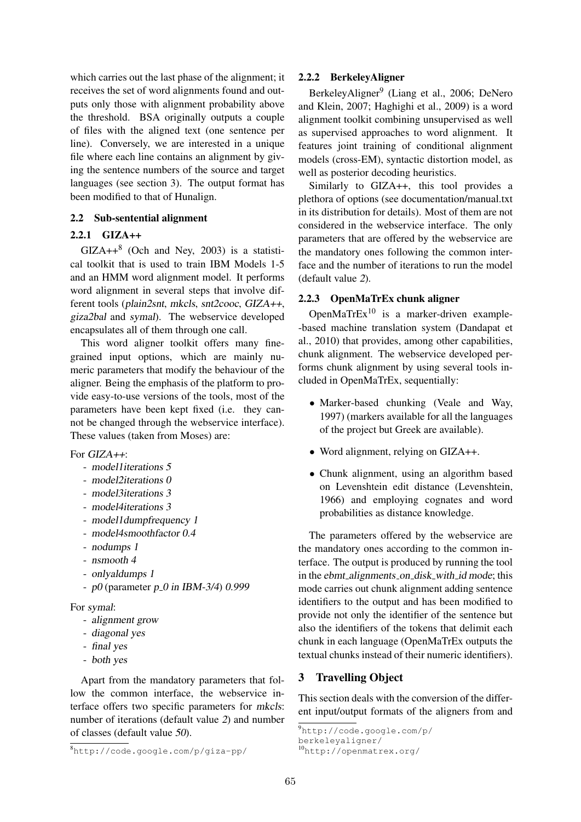which carries out the last phase of the alignment; it receives the set of word alignments found and outputs only those with alignment probability above the threshold. BSA originally outputs a couple of files with the aligned text (one sentence per line). Conversely, we are interested in a unique file where each line contains an alignment by giving the sentence numbers of the source and target languages (see section 3). The output format has been modified to that of Hunalign.

## 2.2 Sub-sentential alignment

#### 2.2.1 GIZA++

 $GIZA++^8$  (Och and Ney, 2003) is a statistical toolkit that is used to train IBM Models 1-5 and an HMM word alignment model. It performs word alignment in several steps that involve different tools (plain2snt, mkcls, snt2cooc, GIZA++, giza2bal and symal). The webservice developed encapsulates all of them through one call.

This word aligner toolkit offers many finegrained input options, which are mainly numeric parameters that modify the behaviour of the aligner. Being the emphasis of the platform to provide easy-to-use versions of the tools, most of the parameters have been kept fixed (i.e. they cannot be changed through the webservice interface). These values (taken from Moses) are:

For  $GIZA++$ :

- model1iterations 5
- model2iterations 0
- model3iterations 3
- model4iterations 3
- model1dumpfrequency 1
- model4smoothfactor 0.4
- nodumps 1
- nsmooth 4
- onlyaldumps 1
- $p0$  (parameter  $p_0$  in IBM-3/4) 0.999

For symal:

- alignment grow
- diagonal yes
- final yes
- both yes

Apart from the mandatory parameters that follow the common interface, the webservice interface offers two specific parameters for mkcls: number of iterations (default value 2) and number of classes (default value 50).

#### 2.2.2 BerkeleyAligner

BerkeleyAligner<sup>9</sup> (Liang et al., 2006; DeNero and Klein, 2007; Haghighi et al., 2009) is a word alignment toolkit combining unsupervised as well as supervised approaches to word alignment. It features joint training of conditional alignment models (cross-EM), syntactic distortion model, as well as posterior decoding heuristics.

Similarly to GIZA++, this tool provides a plethora of options (see documentation/manual.txt in its distribution for details). Most of them are not considered in the webservice interface. The only parameters that are offered by the webservice are the mandatory ones following the common interface and the number of iterations to run the model (default value 2).

# 2.2.3 OpenMaTrEx chunk aligner

OpenMaTrEx $^{10}$  is a marker-driven example--based machine translation system (Dandapat et al., 2010) that provides, among other capabilities, chunk alignment. The webservice developed performs chunk alignment by using several tools included in OpenMaTrEx, sequentially:

- Marker-based chunking (Veale and Way, 1997) (markers available for all the languages of the project but Greek are available).
- Word alignment, relying on GIZA++.
- Chunk alignment, using an algorithm based on Levenshtein edit distance (Levenshtein, 1966) and employing cognates and word probabilities as distance knowledge.

The parameters offered by the webservice are the mandatory ones according to the common interface. The output is produced by running the tool in the ebmt\_alignments\_on\_disk\_with\_id mode; this mode carries out chunk alignment adding sentence identifiers to the output and has been modified to provide not only the identifier of the sentence but also the identifiers of the tokens that delimit each chunk in each language (OpenMaTrEx outputs the textual chunks instead of their numeric identifiers).

# 3 Travelling Object

This section deals with the conversion of the different input/output formats of the aligners from and

<sup>9</sup>http://code.google.com/p/ berkeleyaligner/

<sup>8</sup>http://code.google.com/p/giza-pp/

<sup>10</sup>http://openmatrex.org/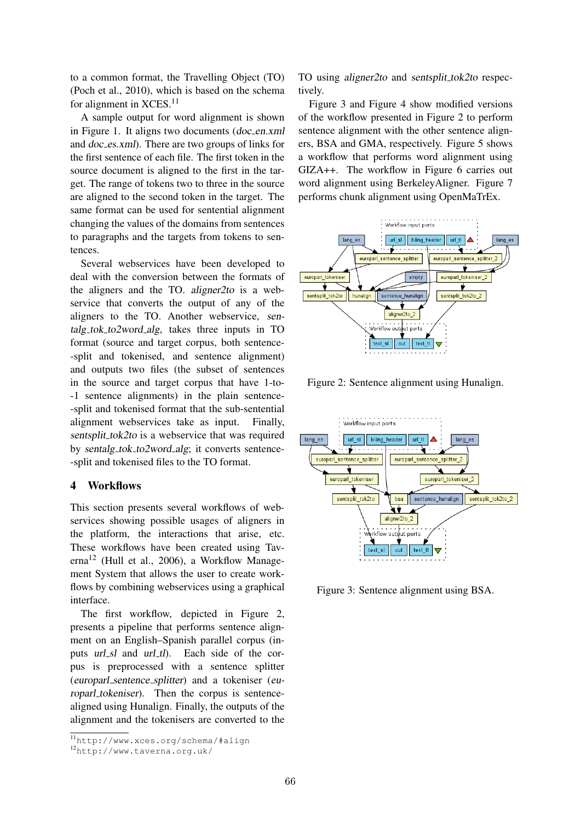to a common format, the Travelling Object (TO) (Poch et al., 2010), which is based on the schema for alignment in  $XCES.$ <sup>11</sup>

A sample output for word alignment is shown in Figure 1. It aligns two documents  $(doc_en.xml)$ and doc es.xml). There are two groups of links for the first sentence of each file. The first token in the source document is aligned to the first in the target. The range of tokens two to three in the source are aligned to the second token in the target. The same format can be used for sentential alignment changing the values of the domains from sentences to paragraphs and the targets from tokens to sentences.

Several webservices have been developed to deal with the conversion between the formats of the aligners and the TO. aligner2to is a webservice that converts the output of any of the aligners to the TO. Another webservice, sentalg tok to2word alg, takes three inputs in TO format (source and target corpus, both sentence- -split and tokenised, and sentence alignment) and outputs two files (the subset of sentences in the source and target corpus that have 1-to- -1 sentence alignments) in the plain sentence- -split and tokenised format that the sub-sentential alignment webservices take as input. Finally, sentsplit\_tok2to is a webservice that was required by sentalg\_tok\_to2word\_alg; it converts sentence--split and tokenised files to the TO format.

# 4 Workflows

This section presents several workflows of webservices showing possible usages of aligners in the platform, the interactions that arise, etc. These workflows have been created using Taverna<sup>12</sup> (Hull et al., 2006), a Workflow Management System that allows the user to create workflows by combining webservices using a graphical interface.

The first workflow, depicted in Figure 2, presents a pipeline that performs sentence alignment on an English–Spanish parallel corpus (inputs url\_sl and url\_tl). Each side of the corpus is preprocessed with a sentence splitter (europarl sentence splitter) and a tokeniser (europarl tokeniser). Then the corpus is sentencealigned using Hunalign. Finally, the outputs of the alignment and the tokenisers are converted to the TO using aligner2to and sentsplit\_tok2to respectively.

Figure 3 and Figure 4 show modified versions of the workflow presented in Figure 2 to perform sentence alignment with the other sentence aligners, BSA and GMA, respectively. Figure 5 shows a workflow that performs word alignment using GIZA++. The workflow in Figure 6 carries out word alignment using BerkeleyAligner. Figure 7 performs chunk alignment using OpenMaTrEx.



Figure 2: Sentence alignment using Hunalign.



Figure 3: Sentence alignment using BSA.

<sup>11</sup>http://www.xces.org/schema/#align

<sup>12</sup>http://www.taverna.org.uk/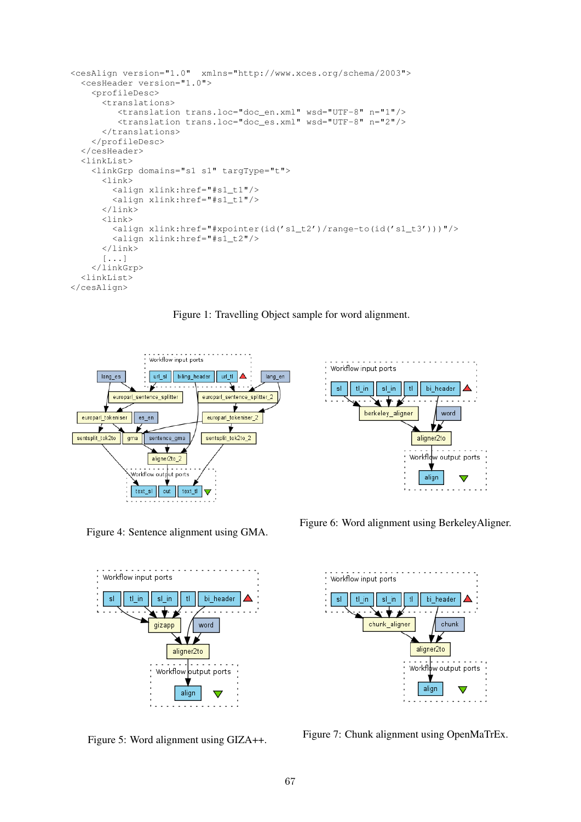```
<cesAlign version="1.0" xmlns="http://www.xces.org/schema/2003">
  <cesHeader version="1.0">
    <profileDesc>
      <translations>
         <translation trans.loc="doc_en.xml" wsd="UTF-8" n="1"/>
         <translation trans.loc="doc_es.xml" wsd="UTF-8" n="2"/>
      </translations>
    </profileDesc>
  </cesHeader>
  <linkList>
    <linkGrp domains="s1 s1" targType="t">
      <link>
        <align xlink:href="#s1_t1"/>
        <align xlink:href="#s1_t1"/>
      \langlelink>
      <link>
        <align xlink:href="#xpointer(id('s1_t2')/range-to(id('s1_t3')))"/>
        <align xlink:href="#s1_t2"/>
      \langlelink>
      [...]
    </linkGrp>
  <linkList>
</cesAlign>
```
Figure 1: Travelling Object sample for word alignment.



 $-1 - 1 - 1 - 1$ Workflow input ports sl  $tl_in$  $sl\_in$  $t\mathbf{l}$ bi\_header <del>. . . .</del> પ∗⊁⊁  $\sim$  . berkeley\_aligner word 71 aligner2to Workflow output ports align  $\overline{\mathbf{v}}$ 

Figure 4: Sentence alignment using GMA.



Figure 5: Word alignment using GIZA++.

Figure 6: Word alignment using BerkeleyAligner.



Figure 7: Chunk alignment using OpenMaTrEx.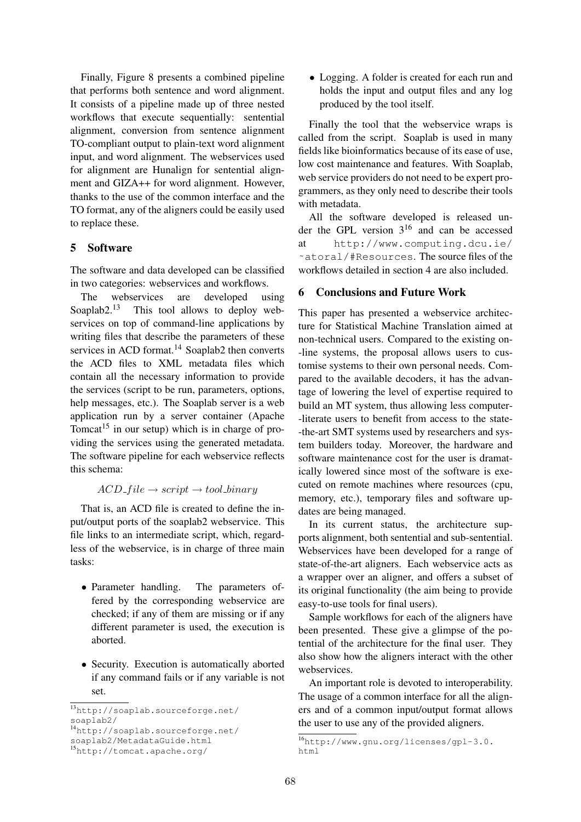Finally, Figure 8 presents a combined pipeline that performs both sentence and word alignment. It consists of a pipeline made up of three nested workflows that execute sequentially: sentential alignment, conversion from sentence alignment TO-compliant output to plain-text word alignment input, and word alignment. The webservices used for alignment are Hunalign for sentential alignment and GIZA++ for word alignment. However, thanks to the use of the common interface and the TO format, any of the aligners could be easily used to replace these.

# 5 Software

The software and data developed can be classified in two categories: webservices and workflows.

The webservices are developed using Soaplab2. $^{13}$  This tool allows to deploy webservices on top of command-line applications by writing files that describe the parameters of these services in ACD format.<sup>14</sup> Soaplab2 then converts the ACD files to XML metadata files which contain all the necessary information to provide the services (script to be run, parameters, options, help messages, etc.). The Soaplab server is a web application run by a server container (Apache Tomcat<sup>15</sup> in our setup) which is in charge of providing the services using the generated metadata. The software pipeline for each webservice reflects this schema:

#### $ACD_{\mathcal{I}} file \rightarrow script \rightarrow tool\_binary$

That is, an ACD file is created to define the input/output ports of the soaplab2 webservice. This file links to an intermediate script, which, regardless of the webservice, is in charge of three main tasks:

- Parameter handling. The parameters offered by the corresponding webservice are checked; if any of them are missing or if any different parameter is used, the execution is aborted.
- Security. Execution is automatically aborted if any command fails or if any variable is not set.

• Logging. A folder is created for each run and holds the input and output files and any log produced by the tool itself.

Finally the tool that the webservice wraps is called from the script. Soaplab is used in many fields like bioinformatics because of its ease of use, low cost maintenance and features. With Soaplab, web service providers do not need to be expert programmers, as they only need to describe their tools with metadata.

All the software developed is released under the GPL version  $3^{16}$  and can be accessed at http://www.computing.dcu.ie/ ˜atoral/#Resources. The source files of the workflows detailed in section 4 are also included.

# 6 Conclusions and Future Work

This paper has presented a webservice architecture for Statistical Machine Translation aimed at non-technical users. Compared to the existing on- -line systems, the proposal allows users to customise systems to their own personal needs. Compared to the available decoders, it has the advantage of lowering the level of expertise required to build an MT system, thus allowing less computer- -literate users to benefit from access to the state- -the-art SMT systems used by researchers and system builders today. Moreover, the hardware and software maintenance cost for the user is dramatically lowered since most of the software is executed on remote machines where resources (cpu, memory, etc.), temporary files and software updates are being managed.

In its current status, the architecture supports alignment, both sentential and sub-sentential. Webservices have been developed for a range of state-of-the-art aligners. Each webservice acts as a wrapper over an aligner, and offers a subset of its original functionality (the aim being to provide easy-to-use tools for final users).

Sample workflows for each of the aligners have been presented. These give a glimpse of the potential of the architecture for the final user. They also show how the aligners interact with the other webservices.

An important role is devoted to interoperability. The usage of a common interface for all the aligners and of a common input/output format allows the user to use any of the provided aligners.

<sup>13</sup>http://soaplab.sourceforge.net/ soaplab2/

<sup>14</sup>http://soaplab.sourceforge.net/

soaplab2/MetadataGuide.html

<sup>15</sup>http://tomcat.apache.org/

<sup>16</sup>http://www.gnu.org/licenses/gpl-3.0. html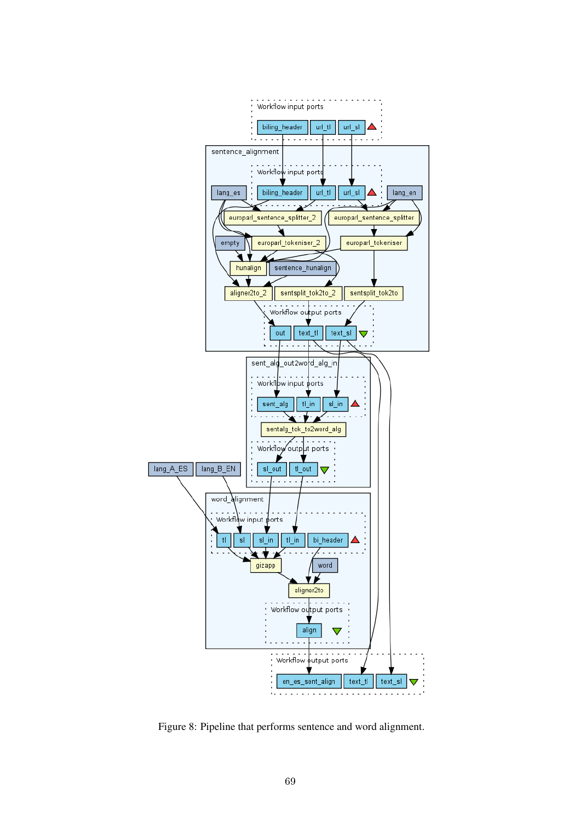

Figure 8: Pipeline that performs sentence and word alignment.